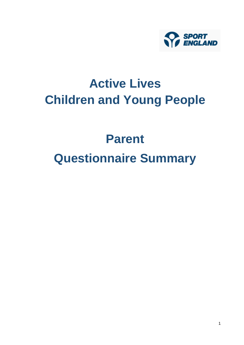

## **Active Lives Children and Young People**

# **Parent Questionnaire Summary**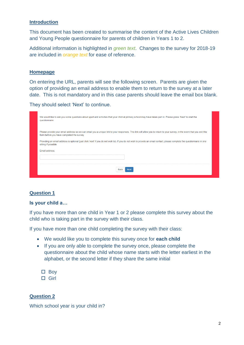#### **Introduction**

This document has been created to summarise the content of the Active Lives Children and Young People questionnaire for parents of children in Years 1 to 2.

Additional information is highlighted in *green text*. Changes to the survey for 2018-19 are included in *orange text* for ease of reference.

#### **Homepage**

On entering the URL, parents will see the following screen. Parents are given the option of providing an email address to enable them to return to the survey at a later date. This is not mandatory and in this case parents should leave the email box blank.

They should select 'Next' to continue.

| We would like to ask you some questions about sport and activities that your child at primary school may have taken part in. Please press 'Next' to start the<br>questionnaire                                                                                                                                                                                                                                                |  |  |  |  |  |  |  |
|-------------------------------------------------------------------------------------------------------------------------------------------------------------------------------------------------------------------------------------------------------------------------------------------------------------------------------------------------------------------------------------------------------------------------------|--|--|--|--|--|--|--|
| Please provide your email address so we can email you a unique link to your responses. This link will allow you to return to your survey, in the event that you exit this<br>form before you have completed the survey.<br>Providing an email address is optional (just click 'next' if you do not wish to). If you do not wish to provide an email contact, please complete the questionnaire in one<br>sitting if possible. |  |  |  |  |  |  |  |
| Email address:                                                                                                                                                                                                                                                                                                                                                                                                                |  |  |  |  |  |  |  |
| <b>Back</b><br><b>Next</b>                                                                                                                                                                                                                                                                                                                                                                                                    |  |  |  |  |  |  |  |

#### **Question 1**

#### **Is your child a…**

If you have more than one child in Year 1 or 2 please complete this survey about the child who is taking part in the survey with their class.

If you have more than one child completing the survey with their class:

- We would like you to complete this survey once for **each child**
- If you are only able to complete the survey once, please complete the questionnaire about the child whose name starts with the letter earliest in the alphabet, or the second letter if they share the same initial

□ Boy □ Girl

#### **Question 2**

Which school year is your child in?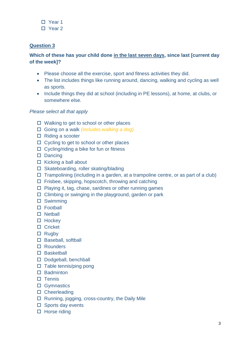- □ Year 1
- □ Year 2

## **Which of these has your child done in the last seven days, since last [current day of the week]?**

- Please choose all the exercise, sport and fitness activities they did.
- The list includes things like running around, dancing, walking and cycling as well as sports.
- Include things they did at school (including in PE lessons), at home, at clubs, or somewhere else.

## *Please select all that apply*

- $\Box$  Walking to get to school or other places
- Going on a walk *(includes walking a dog)*
- $\Box$  Riding a scooter
- $\Box$  Cycling to get to school or other places
- $\Box$  Cycling/riding a bike for fun or fitness
- Dancing
- $\Box$  Kicking a ball about
- □ Skateboarding, roller skating/blading
- $\Box$  Trampolining (including in a garden, at a trampoline centre, or as part of a club)
- $\Box$  Frisbee, skipping, hopscotch, throwing and catching
- $\Box$  Playing it, tag, chase, sardines or other running games
- $\Box$  Climbing or swinging in the playground, garden or park
- Swimming
- □ Football
- $\Box$  Netball
- $\Box$  Hockey
- □ Cricket
- $\Box$  Rugby
- □ Baseball, softball
- Rounders
- □ Basketball
- Dodgeball, benchball
- $\Box$  Table tennis/ping pong
- $\Pi$  Badminton
- $\square$  Tennis
- □ Gymnastics
- □ Cheerleading
- $\Box$  Running, jogging, cross-country, the Daily Mile
- $\square$  Sports day events
- $\Box$  Horse riding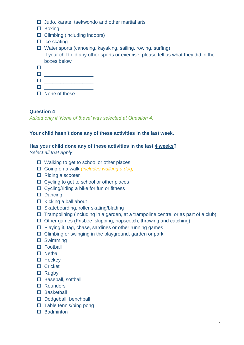- $\Box$  Judo, karate, taekwondo and other martial arts
- $\square$  Boxing
- $\Box$  Climbing (including indoors)
- $\Box$  Ice skating
- Water sports (canoeing, kayaking, sailing, rowing, surfing) If your child did any other sports or exercise, please tell us what they did in the boxes below

- \_\_\_\_\_\_\_\_\_\_\_\_\_\_\_\_\_\_ \_\_\_\_\_\_\_\_\_\_\_\_\_\_\_\_\_\_
- $\Box$
- $\Box$  None of these

*Asked only if 'None of these' was selected at Question 4.*

#### **Your child hasn't done any of these activities in the last week.**

#### **Has your child done any of these activities in the last 4 weeks?**

*Select all that apply*

- $\Box$  Walking to get to school or other places
- Going on a walk *(includes walking a dog)*
- $\Box$  Riding a scooter
- $\Box$  Cycling to get to school or other places
- $\Box$  Cycling/riding a bike for fun or fitness
- $\square$  Dancing
- $\Box$  Kicking a ball about
- □ Skateboarding, roller skating/blading
- $\Box$  Trampolining (including in a garden, at a trampoline centre, or as part of a club)
- $\Box$  Other games (Frisbee, skipping, hopscotch, throwing and catching)
- $\Box$  Playing it, tag, chase, sardines or other running games
- $\Box$  Climbing or swinging in the playground, garden or park
- Swimming
- □ Football
- $\square$  Netball
- $\Box$  Hockey
- $\Box$  Cricket
- $\Box$  Rugby
- □ Baseball, softball
- □ Rounders
- □ Basketball
- Dodgeball, benchball
- $\Box$  Table tennis/ping pong
- $\Box$  Badminton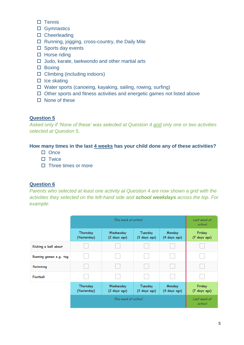- $\square$  Tennis
- □ Gymnastics
- □ Cheerleading
- □ Running, jogging, cross-country, the Daily Mile
- $\square$  Sports day events
- $\Box$  Horse riding
- $\Box$  Judo, karate, taekwondo and other martial arts
- □ Boxing
- $\Box$  Climbing (including indoors)
- $\Box$  Ice skating
- □ Water sports (canoeing, kayaking, sailing, rowing, surfing)
- $\Box$  Other sports and fitness activities and energetic games not listed above
- $\square$  None of these

*Asked only if 'None of these' was selected at Question 4 and only one or two activities selected at Question 5.*

#### **How many times in the last 4 weeks has your child done any of these activities?**

- $\Box$  Once
- $\square$  Twice
- $\Box$  Three times or more

#### **Question 6**

*Parents who selected at least one activity at Question 4 are now shown a grid with the activities they selected on the left-hand side and school weekdays across the top. For example:*

|                        |                         | Last week at<br>school    |                         |                        |                        |
|------------------------|-------------------------|---------------------------|-------------------------|------------------------|------------------------|
|                        | Thursday<br>(Yesterday) | Wednesday<br>(2 days ago) | Tuesday<br>(3 days ago) | Monday<br>(4 days ago) | Friday<br>(7 days ago) |
| Kicking a ball about   |                         |                           |                         |                        |                        |
| Running games e.g. tag |                         |                           |                         |                        |                        |
| Swimming               |                         |                           |                         |                        |                        |
| Football               |                         |                           |                         |                        |                        |
|                        | Thursday<br>(Yesterday) | Wednesday<br>(2 days ago) | Tuesday<br>(3 days ago) | Monday<br>(4 days ago) | Friday<br>(7 days ago) |
|                        |                         | Last week at<br>school    |                         |                        |                        |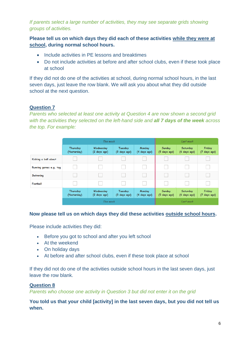*If parents select a large number of activities, they may see separate grids showing groups of activities.* 

**Please tell us on which days they did each of these activities while they were at school, during normal school hours.** 

- Include activities in PE lessons and breaktimes
- Do not include activities at before and after school clubs, even if these took place at school

If they did not do one of the activities at school, during normal school hours, in the last seven days, just leave the row blank. We will ask you about what they did outside school at the next question.

## **Question 7**

*Parents who selected at least one activity at Question 4 are now shown a second grid with the activities they selected on the left-hand side and all 7 days of the week across the top. For example:*

|                        |                         | Last week                 |                         |                        |                        |                          |                        |
|------------------------|-------------------------|---------------------------|-------------------------|------------------------|------------------------|--------------------------|------------------------|
|                        | Thursday<br>(Yesterday) | Wednesday<br>(2 days ago) | Tuesday<br>(3 days ago) | Monday<br>(4 days ago) | Sunday<br>(5 days ago) | Saturday<br>(6 days ago) | Friday<br>(7 days ago) |
| Kicking a ball about   |                         |                           |                         |                        |                        |                          |                        |
| Running games e.g. tag |                         |                           |                         |                        |                        |                          |                        |
| Swimming               |                         |                           |                         |                        |                        |                          |                        |
| Football               |                         |                           |                         |                        |                        |                          |                        |
|                        | Thursday<br>(Yesterday) | Wednesday<br>(2 days ago) | Tuesday<br>(3 days ago) | Monday<br>(4 days ago) | Sunday<br>(5 days ago) | Saturday<br>(6 days ago) | Friday<br>(7 days ago) |
| This week              |                         |                           |                         | Last week              |                        |                          |                        |

#### **Now please tell us on which days they did these activities outside school hours.**

Please include activities they did:

- Before you got to school and after you left school
- At the weekend
- On holiday days
- At before and after school clubs, even if these took place at school

If they did not do one of the activities outside school hours in the last seven days, just leave the row blank.

#### **Question 8**

*Parents who choose one activity in Question 3 but did not enter it on the grid*

#### **You told us that your child [activity] in the last seven days, but you did not tell us when.**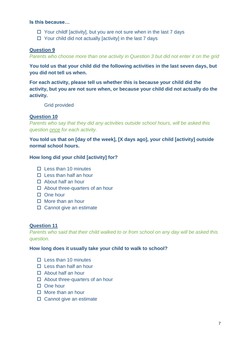#### **Is this because…**

- $\Box$  Your childf [activity], but you are not sure when in the last 7 days
- $\Box$  Your child did not actually [activity] in the last 7 days

#### **Question 9**

*Parents who choose more than one activity in Question 3 but did not enter it on the grid*

**You told us that your child did the following activities in the last seven days, but you did not tell us when.**

**For each activity, please tell us whether this is because your child did the activity, but you are not sure when, or because your child did not actually do the activity.**

Grid provided

#### **Question 10**

*Parents who say that they did any activities outside school hours, will be asked this question once for each activity.* 

**You told us that on [day of the week], [X days ago], your child [activity] outside normal school hours.** 

#### **How long did your child [activity] for?**

- $\Pi$  Less than 10 minutes
- $\Box$  Less than half an hour
- $\Box$  About half an hour
- $\Box$  About three-quarters of an hour
- $\Box$  One hour
- $\Box$  More than an hour
- $\square$  Cannot give an estimate

#### **Question 11**

*Parents who said that their child walked to or from school on any day will be asked this question.* 

#### **How long does it usually take your child to walk to school?**

- $\square$  Less than 10 minutes
- $\Box$  Less than half an hour
- □ About half an hour
- $\Box$  About three-quarters of an hour
- One hour
- $\Box$  More than an hour
- $\square$  Cannot give an estimate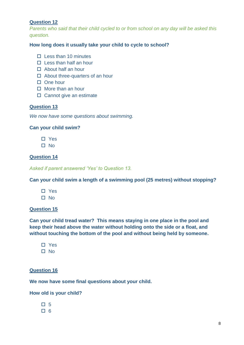*Parents who said that their child cycled to or from school on any day will be asked this question.* 

#### **How long does it usually take your child to cycle to school?**

- $\Box$  Less than 10 minutes
- $\Box$  Less than half an hour
- $\Box$  About half an hour
- $\Box$  About three-quarters of an hour
- $\Box$  One hour
- $\Box$  More than an hour
- $\square$  Cannot give an estimate

#### **Question 13**

*We now have some questions about swimming.* 

#### **Can your child swim?**

- □ Yes
- $\square$  No

#### **Question 14**

*Asked if parent answered 'Yes' to Question 13.*

**Can your child swim a length of a swimming pool (25 metres) without stopping?**

- □ Yes
- □ No

#### **Question 15**

**Can your child tread water? This means staying in one place in the pool and keep their head above the water without holding onto the side or a float, and without touching the bottom of the pool and without being held by someone.**

- □ Yes
- $\square$  No

#### **Question 16**

**We now have some final questions about your child.**

#### **How old is your child?**

- 口 5
- $\square$  6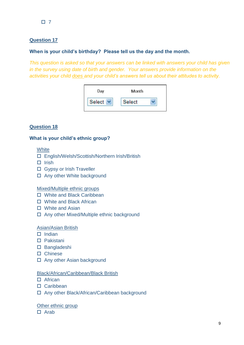## **When is your child's birthday? Please tell us the day and the month.**

*This question is asked so that your answers can be linked with answers your child has given in the survey using date of birth and gender. Your answers provide information on the activities your child does and your child's answers tell us about their attitudes to activity.*



## **Question 18**

#### **What is your child's ethnic group?**

#### **White**

- English/Welsh/Scottish/Northern Irish/British
- $\Box$  Irish
- □ Gypsy or Irish Traveller
- □ Any other White background

#### Mixed/Multiple ethnic groups

- □ White and Black Caribbean
- White and Black African
- □ White and Asian
- □ Any other Mixed/Multiple ethnic background

#### Asian/Asian British

- $\Box$  Indian
- Pakistani
- □ Bangladeshi
- □ Chinese
- □ Any other Asian background

#### Black/African/Caribbean/Black British

- $\Box$  African
- Caribbean
- □ Any other Black/African/Caribbean background

#### Other ethnic group

 $\Box$  Arab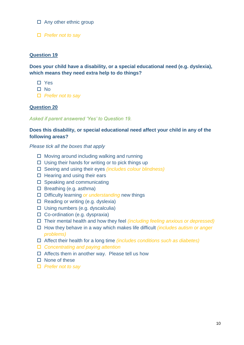- $\Box$  Any other ethnic group
- *Prefer not to say*

**Does your child have a disability, or a special educational need (e.g. dyslexia), which means they need extra help to do things?** 

- □ Yes
- $\Pi$  No
- *Prefer not to say*

#### **Question 20**

*Asked if parent answered 'Yes' to Question 19.*

#### **Does this disability, or special educational need affect your child in any of the following areas?**

*Please tick all the boxes that apply*

- $\Box$  Moving around including walking and running
- $\Box$  Using their hands for writing or to pick things up
- Seeing and using their eyes *(includes colour blindness)*
- $\Box$  Hearing and using their ears
- $\square$  Speaking and communicating
- $\square$  Breathing (e.g. asthma)
- Difficulty learning *or understanding* new things
- $\Box$  Reading or writing (e.g. dyslexia)
- $\square$  Using numbers (e.g. dyscalculia)
- $\Box$  Co-ordination (e.g. dyspraxia)
- Their mental health and how they feel *(including feeling anxious or depressed)*
- How they behave in a way which makes life difficult *(includes autism or anger problems)*
- Affect their health for a long time *(includes conditions such as diabetes)*
- *Concentrating and paying attention*
- $\Box$  Affects them in another way. Please tell us how
- $\Box$  None of these
- *Prefer not to say*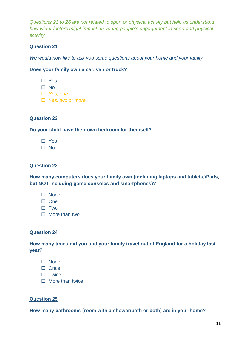*Questions 21 to 26 are not related to sport or physical activity but help us understand how wider factors might impact on young people's engagement in sport and physical activity.* 

## **Question 21**

*We would now like to ask you some questions about your home and your family.*

#### **Does your family own a car, van or truck?**

- **E** Yes
- □ No
- *Yes, one*
- *Yes, two or more*

#### **Question 22**

#### **Do your child have their own bedroom for themself?**

- □ Yes
- $\Pi$  No

#### **Question 23**

**How many computers does your family own (including laptops and tablets/iPads, but NOT including game consoles and smartphones)?**

- $\square$  None
- $\Box$  One
- $\square$  Two
- More than two

#### **Question 24**

**How many times did you and your family travel out of England for a holiday last year?**

- $\square$  None
- $\Box$  Once
- $\square$  Twice
- $\Box$  More than twice

#### **Question 25**

**How many bathrooms (room with a shower/bath or both) are in your home?**